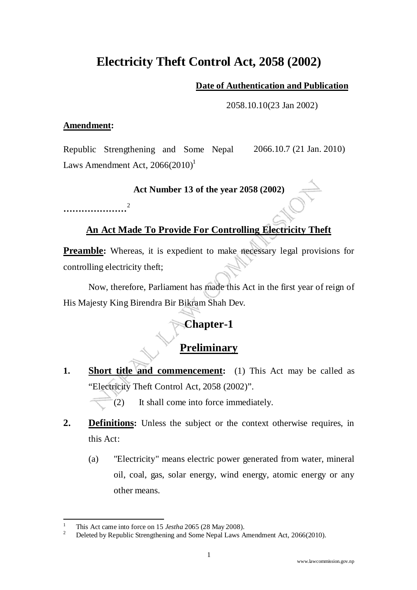# **Electricity Theft Control Act, 2058 (2002)**

#### **Date of Authentication and Publication**

2058.10.10(23 Jan 2002)

#### **Amendment:**

Republic Strengthening and Some Nepal Laws Amendment Act,  $2066(2010)^1$ 2066.10.7 (21 Jan. 2010)

#### **Act Number 13 of the year 2058 (2002)**

**…………………**<sup>2</sup>

#### **An Act Made To Provide For Controlling Electricity Theft**

**Preamble:** Whereas, it is expedient to make necessary legal provisions for controlling electricity theft;

Now, therefore, Parliament has made this Act in the first year of reign of His Majesty King Birendra Bir Bikram Shah Dev.

## **Chapter-1**

## **Preliminary**

**1. Short title and commencement:** (1) This Act may be called as "Electricity Theft Control Act, 2058 (2002)".

(2) It shall come into force immediately.

- **2. Definitions:** Unless the subject or the context otherwise requires, in this Act:
	- (a) "Electricity" means electric power generated from water, mineral oil, coal, gas, solar energy, wind energy, atomic energy or any other means.

ı

<sup>1</sup> This Act came into force on 15 *Jestha* 2065 (28 May 2008).

<sup>2</sup> Deleted by Republic Strengthening and Some Nepal Laws Amendment Act, 2066(2010).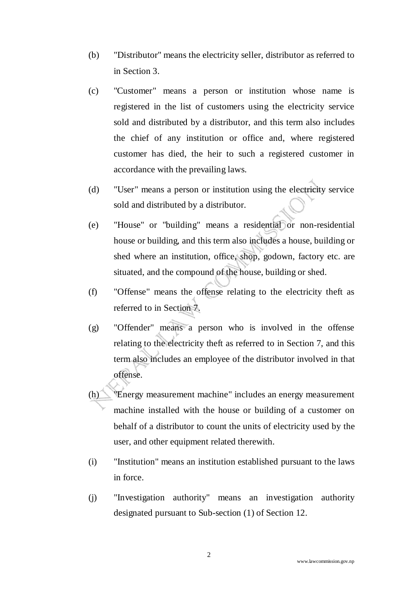- (b) "Distributor" means the electricity seller, distributor as referred to in Section 3.
- (c) "Customer" means a person or institution whose name is registered in the list of customers using the electricity service sold and distributed by a distributor, and this term also includes the chief of any institution or office and, where registered customer has died, the heir to such a registered customer in accordance with the prevailing laws.
- (d) "User" means a person or institution using the electricity service sold and distributed by a distributor.
- (e) "House" or "building" means a residential or non-residential house or building, and this term also includes a house, building or shed where an institution, office, shop, godown, factory etc. are situated, and the compound of the house, building or shed.
- (f) "Offense" means the offense relating to the electricity theft as referred to in Section 7.
- (g) "Offender" means a person who is involved in the offense relating to the electricity theft as referred to in Section 7, and this term also includes an employee of the distributor involved in that offense.
- (h) "Energy measurement machine" includes an energy measurement machine installed with the house or building of a customer on behalf of a distributor to count the units of electricity used by the user, and other equipment related therewith.
- (i) "Institution" means an institution established pursuant to the laws in force.
- (j) "Investigation authority" means an investigation authority designated pursuant to Sub-section (1) of Section 12.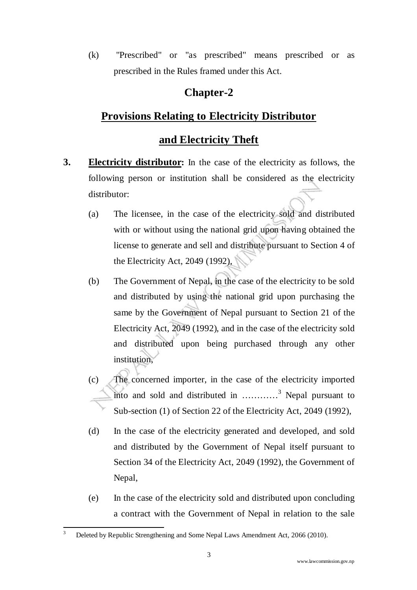(k) "Prescribed" or "as prescribed" means prescribed or as prescribed in the Rules framed under this Act.

#### **Chapter-2**

#### **Provisions Relating to Electricity Distributor**

#### **and Electricity Theft**

- **3. Electricity distributor:** In the case of the electricity as follows, the following person or institution shall be considered as the electricity distributor:
	- (a) The licensee, in the case of the electricity sold and distributed with or without using the national grid upon having obtained the license to generate and sell and distribute pursuant to Section 4 of the Electricity Act, 2049 (1992),
	- (b) The Government of Nepal, in the case of the electricity to be sold and distributed by using the national grid upon purchasing the same by the Government of Nepal pursuant to Section 21 of the Electricity Act, 2049 (1992), and in the case of the electricity sold and distributed upon being purchased through any other institution,
	- (c) The concerned importer, in the case of the electricity imported into and sold and distributed in  $\dots\dots\dots^{3}$  Nepal pursuant to Sub-section (1) of Section 22 of the Electricity Act, 2049 (1992),
	- (d) In the case of the electricity generated and developed, and sold and distributed by the Government of Nepal itself pursuant to Section 34 of the Electricity Act, 2049 (1992), the Government of Nepal,
	- (e) In the case of the electricity sold and distributed upon concluding a contract with the Government of Nepal in relation to the sale

ı

<sup>3</sup> Deleted by Republic Strengthening and Some Nepal Laws Amendment Act, 2066 (2010).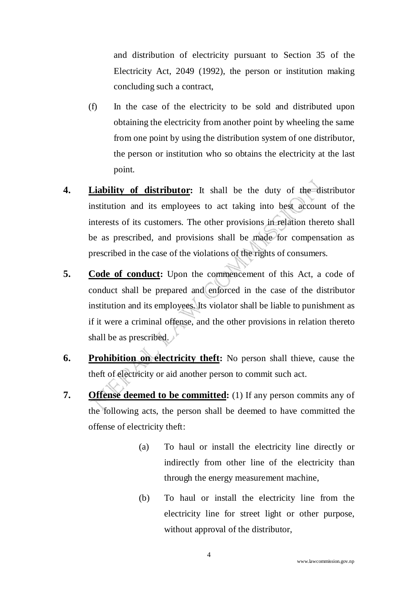and distribution of electricity pursuant to Section 35 of the Electricity Act, 2049 (1992), the person or institution making concluding such a contract,

- (f) In the case of the electricity to be sold and distributed upon obtaining the electricity from another point by wheeling the same from one point by using the distribution system of one distributor, the person or institution who so obtains the electricity at the last point.
- **4.** Liability of distributor: It shall be the duty of the distributor institution and its employees to act taking into best account of the interests of its customers. The other provisions in relation thereto shall be as prescribed, and provisions shall be made for compensation as prescribed in the case of the violations of the rights of consumers.
- **5.** Code of conduct: Upon the commencement of this Act, a code of conduct shall be prepared and enforced in the case of the distributor institution and its employees. Its violator shall be liable to punishment as if it were a criminal offense, and the other provisions in relation thereto shall be as prescribed.
- **6. Prohibition on electricity theft:** No person shall thieve, cause the theft of electricity or aid another person to commit such act.
- **7. Offense deemed to be committed:** (1) If any person commits any of the following acts, the person shall be deemed to have committed the offense of electricity theft:
	- (a) To haul or install the electricity line directly or indirectly from other line of the electricity than through the energy measurement machine,
	- (b) To haul or install the electricity line from the electricity line for street light or other purpose, without approval of the distributor,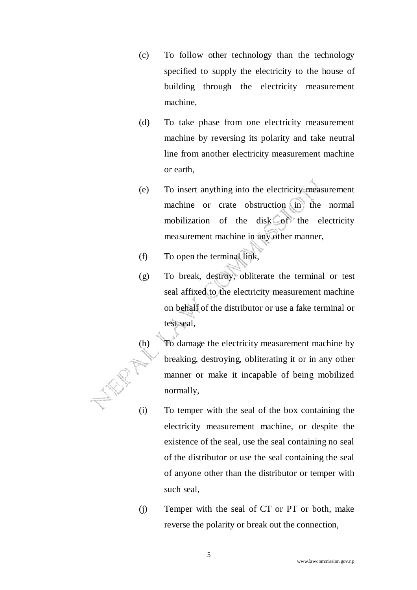- (c) To follow other technology than the technology specified to supply the electricity to the house of building through the electricity measurement machine,
- (d) To take phase from one electricity measurement machine by reversing its polarity and take neutral line from another electricity measurement machine or earth,
- (e) To insert anything into the electricity measurement machine or crate obstruction in the normal mobilization of the disk of the electricity measurement machine in any other manner,
- (f) To open the terminal link,
- (g) To break, destroy, obliterate the terminal or test seal affixed to the electricity measurement machine on behalf of the distributor or use a fake terminal or test seal,
- (h) To damage the electricity measurement machine by breaking, destroying, obliterating it or in any other manner or make it incapable of being mobilized normally,
- (i) To temper with the seal of the box containing the electricity measurement machine, or despite the existence of the seal, use the seal containing no seal of the distributor or use the seal containing the seal of anyone other than the distributor or temper with such seal,
- (j) Temper with the seal of CT or PT or both, make reverse the polarity or break out the connection,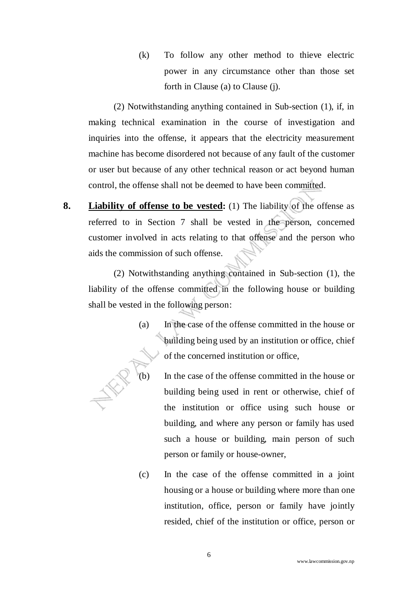(k) To follow any other method to thieve electric power in any circumstance other than those set forth in Clause (a) to Clause (j).

(2) Notwithstanding anything contained in Sub-section (1), if, in making technical examination in the course of investigation and inquiries into the offense, it appears that the electricity measurement machine has become disordered not because of any fault of the customer or user but because of any other technical reason or act beyond human control, the offense shall not be deemed to have been committed.

**8. Liability of offense to be vested:** (1) The liability of the offense as referred to in Section 7 shall be vested in the person, concerned customer involved in acts relating to that offense and the person who aids the commission of such offense.

(2) Notwithstanding anything contained in Sub-section (1), the liability of the offense committed in the following house or building shall be vested in the following person:

- (a) In the case of the offense committed in the house or building being used by an institution or office, chief of the concerned institution or office,
- In the case of the offense committed in the house or building being used in rent or otherwise, chief of the institution or office using such house or building, and where any person or family has used such a house or building, main person of such person or family or house-owner,
	- (c) In the case of the offense committed in a joint housing or a house or building where more than one institution, office, person or family have jointly resided, chief of the institution or office, person or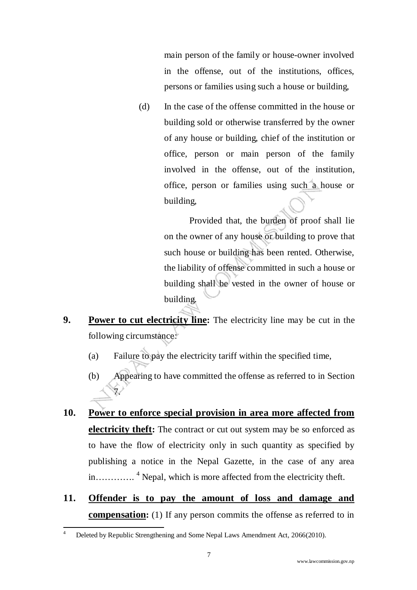main person of the family or house-owner involved in the offense, out of the institutions, offices, persons or families using such a house or building,

(d) In the case of the offense committed in the house or building sold or otherwise transferred by the owner of any house or building, chief of the institution or office, person or main person of the family involved in the offense, out of the institution, office, person or families using such a house or building,

> Provided that, the burden of proof shall lie on the owner of any house or building to prove that such house or building has been rented. Otherwise, the liability of offense committed in such a house or building shall be vested in the owner of house or building.

- **9. Power to cut electricity line:** The electricity line may be cut in the following circumstance:
	- (a) Failure to pay the electricity tariff within the specified time,
	- (b) Appearing to have committed the offense as referred to in Section 7.
- **10. Power to enforce special provision in area more affected from electricity theft:** The contract or cut out system may be so enforced as to have the flow of electricity only in such quantity as specified by publishing a notice in the Nepal Gazette, in the case of any area in………….<sup>4</sup> Nepal, which is more affected from the electricity theft.
- **11. Offender is to pay the amount of loss and damage and compensation:** (1) If any person commits the offense as referred to in

ı

<sup>4</sup> Deleted by Republic Strengthening and Some Nepal Laws Amendment Act, 2066(2010).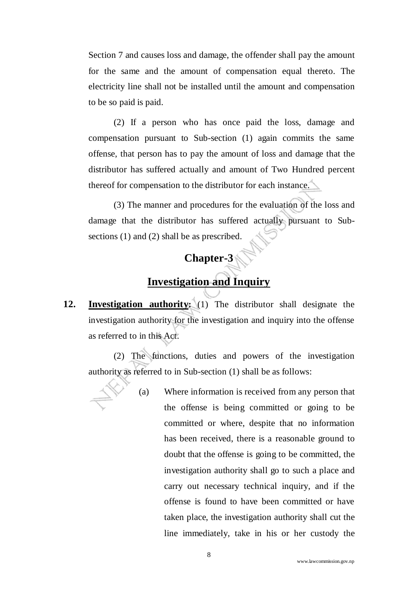Section 7 and causes loss and damage, the offender shall pay the amount for the same and the amount of compensation equal thereto. The electricity line shall not be installed until the amount and compensation to be so paid is paid.

(2) If a person who has once paid the loss, damage and compensation pursuant to Sub-section (1) again commits the same offense, that person has to pay the amount of loss and damage that the distributor has suffered actually and amount of Two Hundred percent thereof for compensation to the distributor for each instance.

(3) The manner and procedures for the evaluation of the loss and damage that the distributor has suffered actually pursuant to Subsections (1) and (2) shall be as prescribed.

# **Chapter-3**

## **Investigation and Inquiry**

**12. Investigation authority:** (1) The distributor shall designate the investigation authority for the investigation and inquiry into the offense as referred to in this Act.

(2) The functions, duties and powers of the investigation authority as referred to in Sub-section (1) shall be as follows:

> (a) Where information is received from any person that the offense is being committed or going to be committed or where, despite that no information has been received, there is a reasonable ground to doubt that the offense is going to be committed, the investigation authority shall go to such a place and carry out necessary technical inquiry, and if the offense is found to have been committed or have taken place, the investigation authority shall cut the line immediately, take in his or her custody the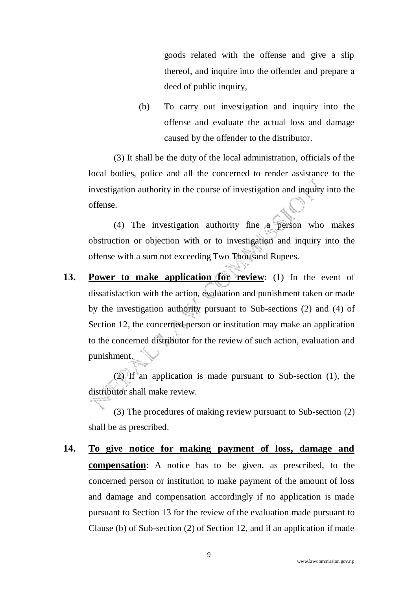goods related with the offense and give a slip thereof, and inquire into the offender and prepare a deed of public inquiry,

(b) To carry out investigation and inquiry into the offense and evaluate the actual loss and damage caused by the offender to the distributor.

(3) It shall be the duty of the local administration, officials of the local bodies, police and all the concerned to render assistance to the investigation authority in the course of investigation and inquiry into the offense.

(4) The investigation authority fine a person who makes obstruction or objection with or to investigation and inquiry into the offense with a sum not exceeding Two Thousand Rupees.

**13. Power to make application for review:** (1) In the event of dissatisfaction with the action, evaluation and punishment taken or made by the investigation authority pursuant to Sub-sections (2) and (4) of Section 12, the concerned person or institution may make an application to the concerned distributor for the review of such action, evaluation and punishment.

(2) If an application is made pursuant to Sub-section (1), the distributor shall make review.

(3) The procedures of making review pursuant to Sub-section (2) shall be as prescribed.

**14. To give notice for making payment of loss, damage and compensation**: A notice has to be given, as prescribed, to the concerned person or institution to make payment of the amount of loss and damage and compensation accordingly if no application is made pursuant to Section 13 for the review of the evaluation made pursuant to Clause (b) of Sub-section (2) of Section 12, and if an application if made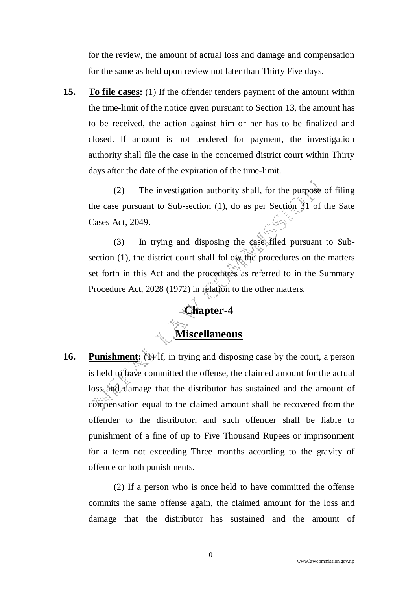for the review, the amount of actual loss and damage and compensation for the same as held upon review not later than Thirty Five days.

**15. To file cases:** (1) If the offender tenders payment of the amount within the time-limit of the notice given pursuant to Section 13, the amount has to be received, the action against him or her has to be finalized and closed. If amount is not tendered for payment, the investigation authority shall file the case in the concerned district court within Thirty days after the date of the expiration of the time-limit.

 (2) The investigation authority shall, for the purpose of filing the case pursuant to Sub-section (1), do as per Section 31 of the Sate Cases Act, 2049.

 (3) In trying and disposing the case filed pursuant to Subsection (1), the district court shall follow the procedures on the matters set forth in this Act and the procedures as referred to in the Summary Procedure Act, 2028 (1972) in relation to the other matters.

#### **Chapter-4**

#### **Miscellaneous**

**16. Punishment:** (1) If, in trying and disposing case by the court, a person is held to have committed the offense, the claimed amount for the actual loss and damage that the distributor has sustained and the amount of compensation equal to the claimed amount shall be recovered from the offender to the distributor, and such offender shall be liable to punishment of a fine of up to Five Thousand Rupees or imprisonment for a term not exceeding Three months according to the gravity of offence or both punishments.

(2) If a person who is once held to have committed the offense commits the same offense again, the claimed amount for the loss and damage that the distributor has sustained and the amount of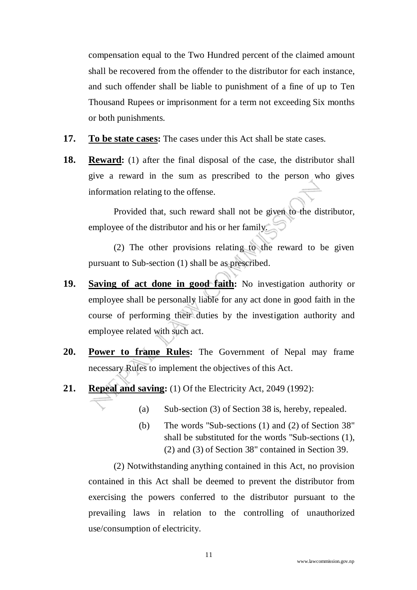compensation equal to the Two Hundred percent of the claimed amount shall be recovered from the offender to the distributor for each instance, and such offender shall be liable to punishment of a fine of up to Ten Thousand Rupees or imprisonment for a term not exceeding Six months or both punishments.

- **17. To be state cases:** The cases under this Act shall be state cases.
- **18. Reward:** (1) after the final disposal of the case, the distributor shall give a reward in the sum as prescribed to the person who gives information relating to the offense.

Provided that, such reward shall not be given to the distributor, employee of the distributor and his or her family.

(2) The other provisions relating to the reward to be given pursuant to Sub-section (1) shall be as prescribed.

- **19. Saving of act done in good faith:** No investigation authority or employee shall be personally liable for any act done in good faith in the course of performing their duties by the investigation authority and employee related with such act.
- **20. Power to frame Rules:** The Government of Nepal may frame necessary Rules to implement the objectives of this Act.
- **21. Repeal and saving:** (1) Of the Electricity Act, 2049 (1992):
	- (a) Sub-section (3) of Section 38 is, hereby, repealed.
	- (b) The words "Sub-sections (1) and (2) of Section 38" shall be substituted for the words "Sub-sections (1), (2) and (3) of Section 38" contained in Section 39.

(2) Notwithstanding anything contained in this Act, no provision contained in this Act shall be deemed to prevent the distributor from exercising the powers conferred to the distributor pursuant to the prevailing laws in relation to the controlling of unauthorized use/consumption of electricity.